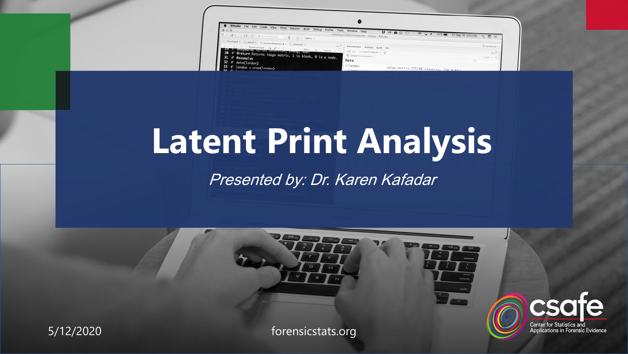| St RStudio File Edit Code View Plots Session Build Debug Profile                                                                |                                                              |                                                                                      |                                         |                         |             |
|---------------------------------------------------------------------------------------------------------------------------------|--------------------------------------------------------------|--------------------------------------------------------------------------------------|-----------------------------------------|-------------------------|-------------|
| Tools                                                                                                                           | Window Help<br>~/Desidop/CSAFE/handeriter - master - RStudio | $\begin{array}{c} \n\mathbf{U} & \mathbf{0} & \mathbf{0} & \mathbf{0} \n\end{array}$ | PQ                                      | FriSep 15 3:01 PM Q O E |             |
| (+ ぼ+ III 品 / d (stricture ) 8 + m + Address +                                                                                  |                                                              |                                                                                      |                                         |                         |             |
| $\{0\}$ This Text R $=$ $\{0\}$ data R $=$ $\{0\}$ is reduced between $R$ $=$ $\{0\}$ denoted ( $\infty$ )                      | Environment History Build Cit                                |                                                                                      |                                         |                         | Aandwriter: |
| Chinese face, Q.Z.+ L. + 38an 39 Share + 27<br>The state of symptoms and the computer of the state of the state of the state of | CIT Lil - Thispert Dataset + 1                               |                                                                                      |                                         |                         |             |
| 30 #' @return Returns image matrix. 1 is blank, 0 is a node.<br>431 #' @examples                                                | City Global Engineering +<br>Data                            |                                                                                      |                                         |                         | tite +      |
| $32$ #' $data(london)$                                                                                                          |                                                              |                                                                                      |                                         |                         |             |
| $33$ #' london = crop(london)                                                                                                   | 01ondon<br><b>COLUMN 2014</b>                                |                                                                                      | Large matrix (71188 elements, SSC 4 Kb) |                         |             |

# **Latent Print Analysis**

#### Presented by: Dr. Karen Kafadar

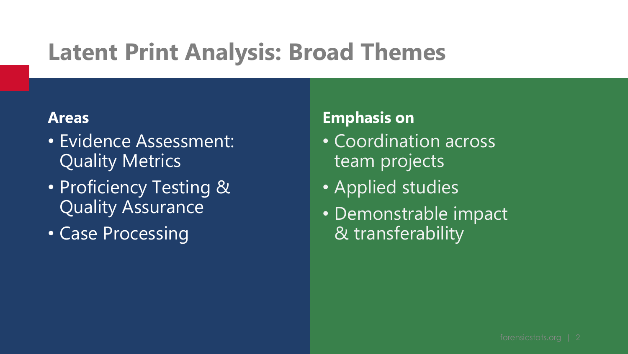### **Latent Print Analysis: Broad Themes**

#### **Areas**

- Evidence Assessment: Quality Metrics
- Proficiency Testing & Quality Assurance
- Case Processing

#### **Emphasis on**

- Coordination across team projects
- Applied studies
- Demonstrable impact & transferability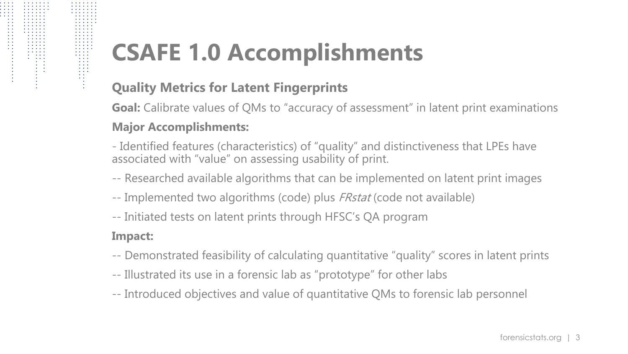# **CSAFE 1.0 Accomplishments**

#### **Quality Metrics for Latent Fingerprints**

**Goal:** Calibrate values of QMs to "accuracy of assessment" in latent print examinations

#### **Major Accomplishments:**

- Identified features (characteristics) of "quality" and distinctiveness that LPEs have associated with "value" on assessing usability of print.

- -- Researched available algorithms that can be implemented on latent print images
- -- Implemented two algorithms (code) plus *FRstat* (code not available)
- -- Initiated tests on latent prints through HFSC's QA program

#### **Impact:**

- -- Demonstrated feasibility of calculating quantitative "quality" scores in latent prints
- -- Illustrated its use in a forensic lab as "prototype" for other labs
- -- Introduced objectives and value of quantitative QMs to forensic lab personnel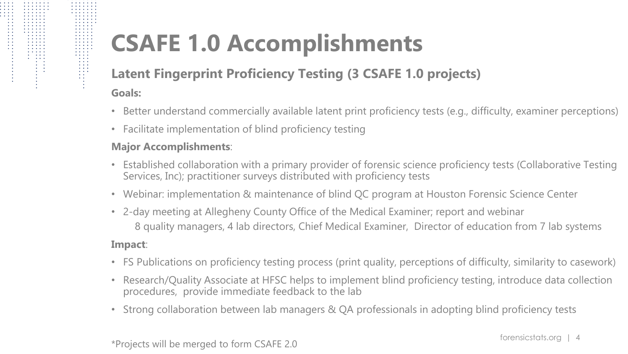## **CSAFE 1.0 Accomplishments**

#### **Latent Fingerprint Proficiency Testing (3 CSAFE 1.0 projects)**

**Goals:** 

- Better understand commercially available latent print proficiency tests (e.g., difficulty, examiner perceptions)
- Facilitate implementation of blind proficiency testing

#### **Major Accomplishments**:

- Established collaboration with a primary provider of forensic science proficiency tests (Collaborative Testing Services, Inc); practitioner surveys distributed with proficiency tests
- Webinar: implementation & maintenance of blind QC program at Houston Forensic Science Center
- 2-day meeting at Allegheny County Office of the Medical Examiner; report and webinar 8 quality managers, 4 lab directors, Chief Medical Examiner, Director of education from 7 lab systems

#### **Impact**:

- FS Publications on proficiency testing process (print quality, perceptions of difficulty, similarity to casework)
- Research/Quality Associate at HFSC helps to implement blind proficiency testing, introduce data collection procedures, provide immediate feedback to the lab
- Strong collaboration between lab managers & QA professionals in adopting blind proficiency tests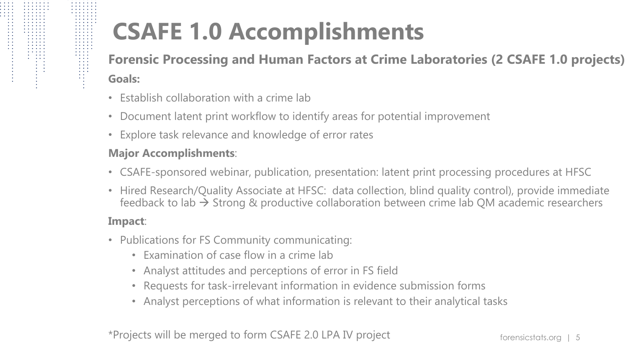# **CSAFE 1.0 Accomplishments**

**Forensic Processing and Human Factors at Crime Laboratories (2 CSAFE 1.0 projects) Goals:** 

- Establish collaboration with a crime lab
- Document latent print workflow to identify areas for potential improvement
- Explore task relevance and knowledge of error rates

#### **Major Accomplishments**:

- CSAFE-sponsored webinar, publication, presentation: latent print processing procedures at HFSC
- Hired Research/Quality Associate at HFSC: data collection, blind quality control), provide immediate feedback to lab  $\rightarrow$  Strong & productive collaboration between crime lab QM academic researchers

#### **Impact**:

- Publications for FS Community communicating:
	- Examination of case flow in a crime lab
	- Analyst attitudes and perceptions of error in FS field
	- Requests for task-irrelevant information in evidence submission forms
	- Analyst perceptions of what information is relevant to their analytical tasks

\*Projects will be merged to form CSAFE 2.0 LPA IV project forensicstats.org | 5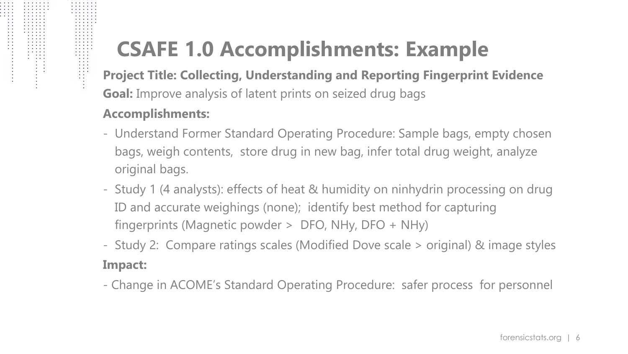### **CSAFE 1.0 Accomplishments: Example**

**Project Title: Collecting, Understanding and Reporting Fingerprint Evidence Goal:** Improve analysis of latent prints on seized drug bags

#### **Accomplishments:**

- Understand Former Standard Operating Procedure: Sample bags, empty chosen bags, weigh contents, store drug in new bag, infer total drug weight, analyze original bags.
- Study 1 (4 analysts): effects of heat & humidity on ninhydrin processing on drug ID and accurate weighings (none); identify best method for capturing fingerprints (Magnetic powder > DFO, NHy, DFO + NHy)
- Study 2: Compare ratings scales (Modified Dove scale > original) & image styles **Impact:**
- Change in ACOME's Standard Operating Procedure: safer process for personnel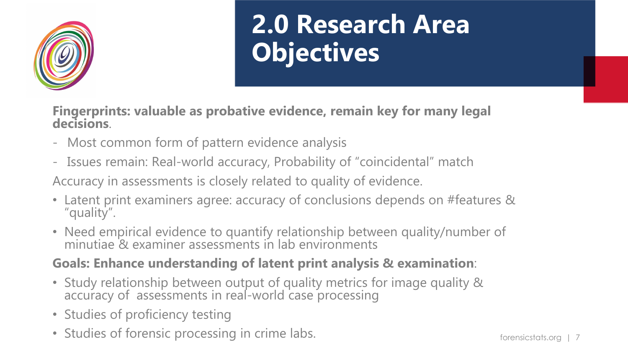

# **2.0 Research Area Objectives**

**Fingerprints: valuable as probative evidence, remain key for many legal decisions**.

- Most common form of pattern evidence analysis
- Issues remain: Real-world accuracy, Probability of "coincidental" match

Accuracy in assessments is closely related to quality of evidence.

- Latent print examiners agree: accuracy of conclusions depends on #features & "quality".
- Need empirical evidence to quantify relationship between quality/number of minutiae & examiner assessments in lab environments

#### **Goals: Enhance understanding of latent print analysis & examination**:

- Study relationship between output of quality metrics for image quality & accuracy of assessments in real-world case processing
- Studies of proficiency testing
- Studies of forensic processing in crime labs. The studies of forensicstats.org | 7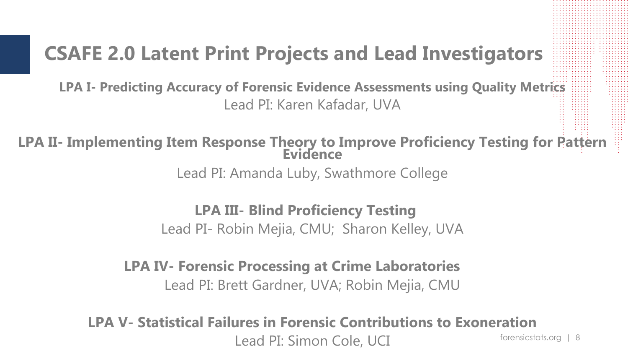### **CSAFE 2.0 Latent Print Projects and Lead Investigators**

**LPA I- Predicting Accuracy of Forensic Evidence Assessments using Quality Metrics** Lead PI: Karen Kafadar, UVA

**LPA II- Implementing Item Response Theory to Improve Proficiency Testing for Pattern Evidence**

Lead PI: Amanda Luby, Swathmore College

**LPA III- Blind Proficiency Testing**

Lead PI- Robin Mejia, CMU; Sharon Kelley, UVA

**LPA IV- Forensic Processing at Crime Laboratories** Lead PI: Brett Gardner, UVA; Robin Mejia, CMU

forensicstats.org | 8 **LPA V- Statistical Failures in Forensic Contributions to Exoneration** Lead PI: Simon Cole, UCI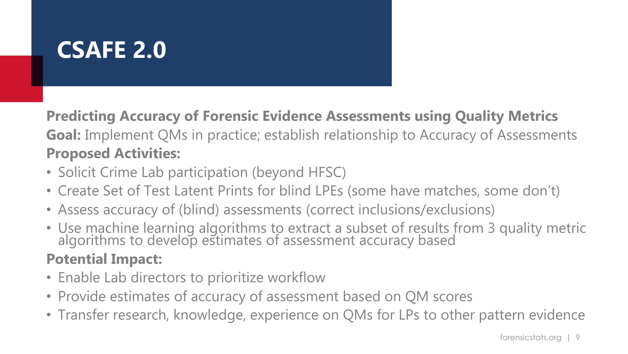### **CSAFE 2.0**

**Predicting Accuracy of Forensic Evidence Assessments using Quality Metrics Goal:** Implement QMs in practice; establish relationship to Accuracy of Assessments **Proposed Activities:**

- Solicit Crime Lab participation (beyond HFSC)
- Create Set of Test Latent Prints for blind LPEs (some have matches, some don't)
- Assess accuracy of (blind) assessments (correct inclusions/exclusions)
- Use machine learning algorithms to extract a subset of results from 3 quality metric algorithms to develop estimates of assessment accuracy based

- Enable Lab directors to prioritize workflow
- Provide estimates of accuracy of assessment based on QM scores
- Transfer research, knowledge, experience on QMs for LPs to other pattern evidence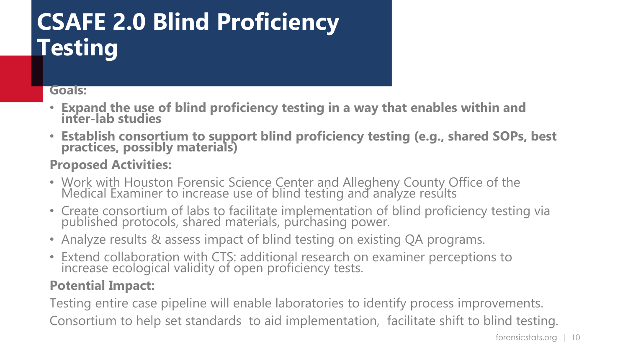### **CSAFE 2.0 Blind Proficiency Testing**

#### **Goals:**

- **Expand the use of blind proficiency testing in a way that enables within and inter-lab studies**
- **Establish consortium to support blind proficiency testing (e.g., shared SOPs, best practices, possibly materials)**

#### **Proposed Activities:**

- Work with Houston Forensic Science Center and Allegheny County Office of the Medical Examiner to increase use of blind testing and analyze results
- Create consortium of labs to facilitate implementation of blind proficiency testing via published protocols, shared materials, purchasing power.
- Analyze results & assess impact of blind testing on existing QA programs.
- Extend collaboration with CTS: additional research on examiner perceptions to increase ecological validity of open proficiency tests.

#### **Potential Impact:**

Testing entire case pipeline will enable laboratories to identify process improvements. Consortium to help set standards to aid implementation, facilitate shift to blind testing.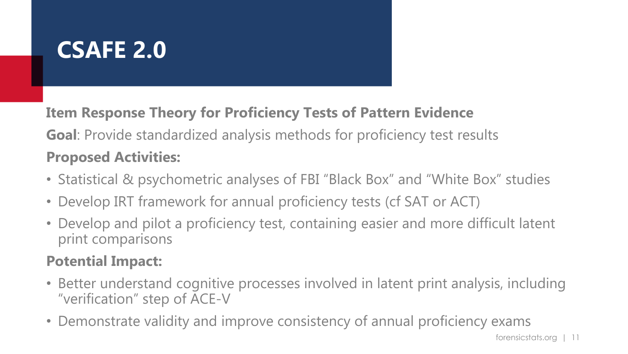### **CSAFE 2.0**

**Item Response Theory for Proficiency Tests of Pattern Evidence Goal**: Provide standardized analysis methods for proficiency test results **Proposed Activities:**

- Statistical & psychometric analyses of FBI "Black Box" and "White Box" studies
- Develop IRT framework for annual proficiency tests (cf SAT or ACT)
- Develop and pilot a proficiency test, containing easier and more difficult latent print comparisons

- Better understand cognitive processes involved in latent print analysis, including "verification" step of ACE-V
- Demonstrate validity and improve consistency of annual proficiency exams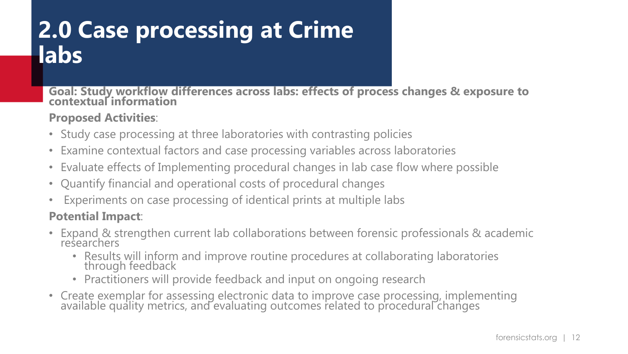### **2.0 Case processing at Crime labs**

**Goal: Study workflow differences across labs: effects of process changes & exposure to contextual information**

#### **Proposed Activities**:

- Study case processing at three laboratories with contrasting policies
- Examine contextual factors and case processing variables across laboratories
- Evaluate effects of Implementing procedural changes in lab case flow where possible
- Quantify financial and operational costs of procedural changes
- Experiments on case processing of identical prints at multiple labs

- Expand & strengthen current lab collaborations between forensic professionals & academic researchers
	- Results will inform and improve routine procedures at collaborating laboratories through feedback
	- Practitioners will provide feedback and input on ongoing research
- Create exemplar for assessing electronic data to improve case processing, implementing available quality metrics, and evaluating outcomes related to procedural changes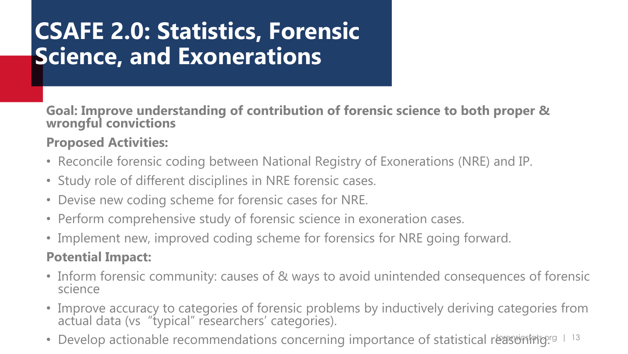### **CSAFE 2.0: Statistics, Forensic Science, and Exonerations**

**Goal: Improve understanding of contribution of forensic science to both proper & wrongful convictions**

#### **Proposed Activities:**

- Reconcile forensic coding between National Registry of Exonerations (NRE) and IP.
- Study role of different disciplines in NRE forensic cases.
- Devise new coding scheme for forensic cases for NRE.
- Perform comprehensive study of forensic science in exoneration cases.
- Implement new, improved coding scheme for forensics for NRE going forward.

- Inform forensic community: causes of & ways to avoid unintended consequences of forensic science
- Improve accuracy to categories of forensic problems by inductively deriving categories from actual data (vs "typical" researchers' categories).
- Develop actionable recommendations concerning importance of statistical reasoning.<sup>rg</sup> 1 13